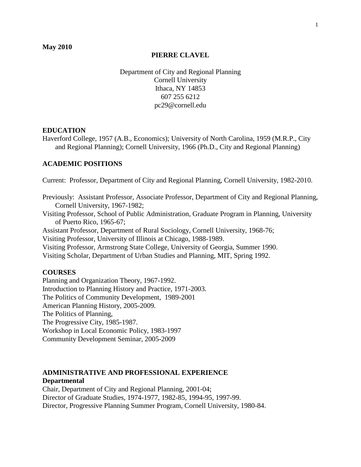## **PIERRE CLAVEL**

Department of City and Regional Planning Cornell University Ithaca, NY 14853 607 255 6212 [pc29@cornell.edu](mailto:pc29@cornell.edu) 

### **EDUCATION**

Haverford College, 1957 (A.B., Economics); University of North Carolina, 1959 (M.R.P., City and Regional Planning); Cornell University, 1966 (Ph.D., City and Regional Planning)

# **ACADEMIC POSITIONS**

Current: Professor, Department of City and Regional Planning, Cornell University, 1982-2010.

Previously: Assistant Professor, Associate Professor, Department of City and Regional Planning, Cornell University, 1967-1982;

Visiting Professor, School of Public Administration, Graduate Program in Planning, University of Puerto Rico, 1965-67;

Assistant Professor, Department of Rural Sociology, Cornell University, 1968-76; Visiting Professor, University of Illinois at Chicago, 1988-1989.

Visiting Professor, Armstrong State College, University of Georgia, Summer 1990.

Visiting Scholar, Department of Urban Studies and Planning, MIT, Spring 1992.

# **COURSES**

Planning and Organization Theory, 1967-1992. Introduction to Planning History and Practice, 1971-2003. The Politics of Community Development, 1989-2001 American Planning History, 2005-2009. The Politics of Planning, The Progressive City, 1985-1987. Workshop in Local Economic Policy, 1983-1997 Community Development Seminar, 2005-2009

# **ADMINISTRATIVE AND PROFESSIONAL EXPERIENCE Departmental**

Chair, Department of City and Regional Planning, 2001-04; Director of Graduate Studies, 1974-1977, 1982-85, 1994-95, 1997-99. Director, Progressive Planning Summer Program, Cornell University, 1980-84.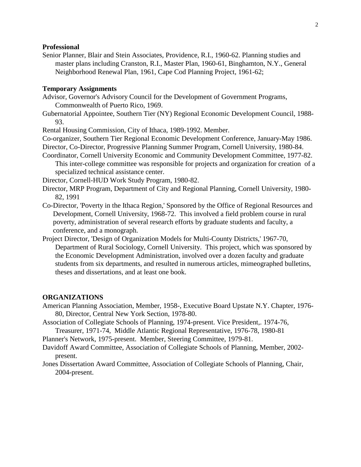## **Professional**

Senior Planner, Blair and Stein Associates, Providence, R.I., 1960-62. Planning studies and master plans including Cranston, R.I., Master Plan, 1960-61, Binghamton, N.Y., General Neighborhood Renewal Plan, 1961, Cape Cod Planning Project, 1961-62;

### **Temporary Assignments**

- Advisor, Governor's Advisory Council for the Development of Government Programs, Commonwealth of Puerto Rico, 1969.
- Gubernatorial Appointee, Southern Tier (NY) Regional Economic Development Council, 1988- 93.

Rental Housing Commission, City of Ithaca, 1989-1992. Member.

Co-organizer, Southern Tier Regional Economic Development Conference, January-May 1986. Director, Co-Director, Progressive Planning Summer Program, Cornell University, 1980-84.

Coordinator, Cornell University Economic and Community Development Committee, 1977-82. This inter-college committee was responsible for projects and organization for creation of a specialized technical assistance center.

Director, Cornell-HUD Work Study Program, 1980-82. Director, Cornell-HUD Work Study Program, 1980-82.

- Director, MRP Program, Department of City and Regional Planning, Cornell University, 1980- 82, 1991
- Co-Director, 'Poverty in the Ithaca Region,' Sponsored by the Office of Regional Resources and Development, Cornell University, 1968-72. This involved a field problem course in rural poverty, administration of several research efforts by graduate students and faculty, a conference, and a monograph.
- Project Director, 'Design of Organization Models for Multi-County Districts,' 1967-70, Department of Rural Sociology, Cornell University. This project, which was sponsored by the Economic Development Administration, involved over a dozen faculty and graduate students from six departments, and resulted in numerous articles, mimeographed bulletins, theses and dissertations, and at least one book.

#### **ORGANIZATIONS**

- American Planning Association, Member, 1958-, Executive Board Upstate N.Y. Chapter, 1976- 80, Director, Central New York Section, 1978-80.
- Association of Collegiate Schools of Planning, 1974-present. Vice President,. 1974-76, Treasurer, 1971-74, Middle Atlantic Regional Representative, 1976-78, 1980-81

Planner's Network, 1975-present. Member, Steering Committee, 1979-81. Planner's Network, 1975-present. Member, Steering Committee, 1979-81.

- Davidoff Award Committee, Association of Collegiate Schools of Planning, Member, 2002 present.
- Jones Dissertation Award Committee, Association of Collegiate Schools of Planning, Chair, 2004-present.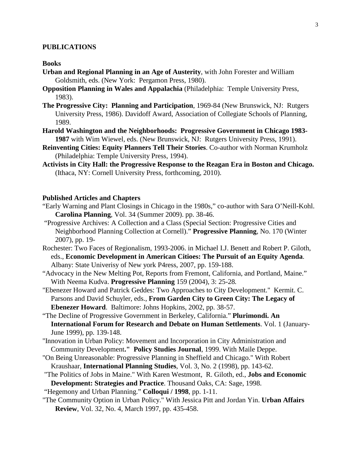#### **PUBLICATIONS**

#### **Books**

- **Urban and Regional Planning in an Age of Austerity**, with John Forester and William Goldsmith, eds. (New York: Pergamon Press, 1980).
- **Opposition Planning in Wales and Appalachia** (Philadelphia: Temple University Press, 1983).
- **The Progressive City: Planning and Participation**, 1969-84 (New Brunswick, NJ: Rutgers University Press, 1986). Davidoff Award, Association of Collegiate Schools of Planning, 1989.
- **Harold Washington and the Neighborhoods: Progressive Government in Chicago 1983- 1987** with Wim Wiewel, eds. (New Brunswick, NJ: Rutgers University Press, 1991).
- **Reinventing Cities: Equity Planners Tell Their Stories**. Co-author with Norman Krumholz (Philadelphia: Temple University Press, 1994).
- **Activists in City Hall: the Progressive Response to the Reagan Era in Boston and Chicago.**  (Ithaca, NY: Cornell University Press, forthcoming, 2010).

### **Published Articles and Chapters**

- "Early Warning and Plant Closings in Chicago in the 1980s," co-author with Sara O'Neill-Kohl. **Carolina Planning**, Vol. 34 (Summer 2009). pp. 38-46.
- "Progressive Archives: A Collection and a Class (Special Section: Progressive Cities and Neighborhood Planning Collection at Cornell)." **Progressive Planning**, No. 170 (Winter 2007), pp. 19-
- Rochester: Two Faces of Regionalism, 1993-2006. in Michael I.J. Benett and Robert P. Giloth, eds., **Economic Development in American Citioes: The Pursuit of an Equity Agenda**. Albany: State Univerisy of New york P4ress, 2007, pp. 159-188.
- "Advocacy in the New Melting Pot, Reports from Fremont, California, and Portland, Maine." With Neema Kudva. **Progressive Planning** 159 (2004), 3: 25-28*.*
- "Ebenezer Howard and Patrick Geddes: Two Approaches to City Development." Kermit. C. Parsons and David Schuyler, eds., **From Garden City to Green City: The Legacy of Ebenezer Howard**. Baltimore: Johns Hopkins, 2002, pp. 38-57.
- "The Decline of Progressive Government in Berkeley, California." **Plurimondi. An International Forum for Research and Debate on Human Settlements**. Vol. 1 (January-June 1999), pp. 139-148.
- "Innovation in Urban Policy: Movement and Incorporation in City Administration and Community Development**." Policy Studies Journal**, 1999. With Maile Deppe.
- "On Being Unreasonable: Progressive Planning in Sheffield and Chicago." With Robert Kraushaar, **International Planning Studies**, Vol. 3, No. 2 (1998), pp. 143-62.
- "The Politics of Jobs in Maine." With Karen Westmont, R. Giloth, ed., **Jobs and Economic Development: Strategies and Practice**. Thousand Oaks, CA: Sage, 1998.
- "Hegemony and Urban Planning." **Colloqui / 1998**, pp. 1-11.
- "The Community Option in Urban Policy." With Jessica Pitt and Jordan Yin. **Urban Affairs Review**, Vol. 32, No. 4, March 1997, pp. 435-458.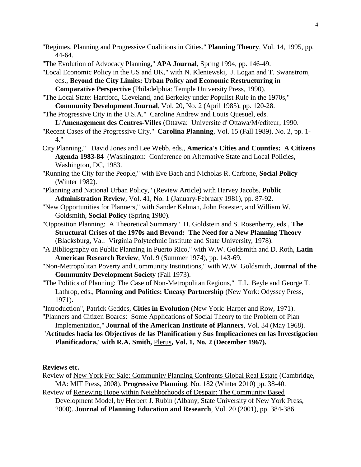"Regimes, Planning and Progressive Coalitions in Cities." **Planning Theory**, Vol. 14, 1995, pp. 44-64.

"The Evolution of Advocacy Planning," **APA Journal**, Spring 1994, pp. 146-49.

"Local Economic Policy in the US and UK," with N. Kleniewski, J. Logan and T. Swanstrom, eds., **Beyond the City Limits: Urban Policy and Economic Restructuring in Comparative Perspective** (Philadelphia: Temple University Press, 1990).

"The Local State: Hartford, Cleveland, and Berkeley under Populist Rule in the 1970s," **Community Development Journal**, Vol. 20, No. 2 (April 1985), pp. 120-28.

"The Progressive City in the U.S.A." Caroline Andrew and Louis Quesuel, eds.

- **L'Amenagement des Centres-Villes** (Ottawa: Universite d' Ottawa/M/editeur, 1990. "Recent Cases of the Progressive City." **Carolina Planning**, Vol. 15 (Fall 1989), No. 2, pp. 1- 4."
- City Planning," David Jones and Lee Webb, eds., **America's Cities and Counties: A Citizens Agenda 1983-84** (Washington: Conference on Alternative State and Local Policies, Washington, DC, 1983.

"Running the City for the People," with Eve Bach and Nicholas R. Carbone, **Social Policy** (Winter 1982).

"Planning and National Urban Policy," (Review Article) with Harvey Jacobs, **Public Administration Review**, Vol. 41, No. 1 (January-February 1981), pp. 87-92.

"New Opportunities for Planners," with Sander Kelman, John Forester, and William W. Goldsmith, **Social Policy** (Spring 1980).

- "Opposition Planning: A Theoretical Summary" H. Goldstein and S. Rosenberry, eds., **The Structural Crises of the 1970s and Beyond: The Need for a New Planning Theory** (Blacksburg, Va.: Virginia Polytechnic Institute and State University, 1978).
- "A Bibliography on Public Planning in Puerto Rico," with W.W. Goldsmith and D. Roth, **Latin American Research Review**, Vol. 9 (Summer 1974), pp. 143-69.
- "Non-Metropolitan Poverty and Community Institutions," with W.W. Goldsmith, **Journal of the Community Development Society** (Fall 1973).
- "The Politics of Planning: The Case of Non-Metropolitan Regions," T.L. Beyle and George T. Lathrop, eds., **Planning and Politics: Uneasy Partnership** (New York: Odyssey Press, 1971).

"Introduction", Patrick Geddes, **Cities in Evolution** (New York: Harper and Row, 1971).

"Planners and Citizen Boards: Some Applications of Social Theory to the Problem of Plan Implementation," **Journal of the American Institute of Planners**, Vol. 34 (May 1968).

**'Actitudes hacia los Objectivos de las Planification y Sus Implicaciones en las Investigacion** Planificadora,' with R.A. Smith, *Plerus*, Vol. 1, No. 2 (December 1967).

**Reviews etc.**

Review of New York For Sale: Community Planning Confronts Global Real Estate (Cambridge, MA: MIT Press, 2008). **Progressive Planning**, No. 182 (Winter 2010) pp. 38-40.

Review of Renewing Hope within Neighborhoods of Despair: The Community Based Development Model, by Herbert J. Rubin (Albany, State University of New York Press, 2000). **Journal of Planning Education and Research**, Vol. 20 (2001), pp. 384-386.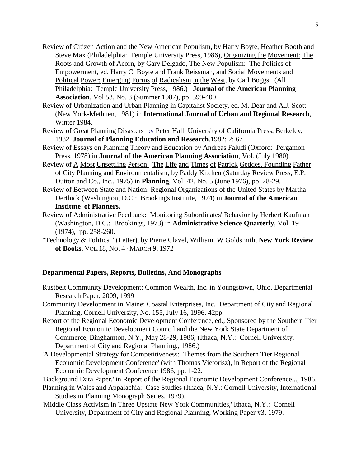- Review of Citizen Action and the New American Populism, by Harry Boyte, Heather Booth and Steve Max (Philadelphia: Temple University Press, 1986), Organizing the Movement: The Roots and Growth of Acorn, by Gary Delgado, The New Populism: The Politics of Empowerment, ed. Harry C. Boyte and Frank Reissman, and Social Movements and Political Power: Emerging Forms of Radicalism in the West, by Carl Boggs. (All Philadelphia: Temple University Press, 1986.) **Journal of the American Planning Association**, Vol 53, No. 3 (Summer 1987), pp. 399-400.
- Review of Urbanization and Urban Planning in Capitalist Society, ed. M. Dear and A.J. Scott (New York-Methuen, 1981) in **International Journal of Urban and Regional Research**, Winter 1984.
- Review of Great Planning Disasters by Peter Hall. University of California Press, Berkeley, 1982. **Journal of Planning Education and Research***.*1982; 2: 67
- Review of Essays on Planning Theory and Education by Andreas Faludi (Oxford: Pergamon Press, 1978) in **Journal of the American Planning Association**, Vol. (July 1980).
- Review of A Most Unsettling Person: The Life and Times of Patrick Geddes, Founding Father of City Planning and Environmentalism, by Paddy Kitchen (Saturday Review Press, E.P. Dutton and Co., Inc., 1975) in **Planning**, Vol. 42, No. 5 (June 1976), pp. 28-29.
- Review of Between State and Nation: Regional Organizations of the United States by Martha Derthick (Washington, D.C.: Brookings Institute, 1974) in **Journal of the American Institute of Planners.**
- Review of Administrative Feedback: Monitoring Subordinates' Behavior by Herbert Kaufman (Washington, D.C.: Brookings, 1973) in **Administrative Science Quarterly**, Vol. 19 (1974), pp. 258-260.
- "Technology & Politics." (Letter), by Pierre Clavel, William. W Goldsmith, **New York Review** "Technology & Politics." (Letter), by Pierre Clavel, William. W Goldsmith, New York **of Books**, VOL.18, NO. 4 · MARCH 9, 1972

### **Departmental Papers, Reports, Bulletins, And Monographs**

- Rustbelt Community Development: Common Wealth, Inc. in Youngstown, Ohio. Departmental Research Paper, 2009, 1999
- Community Development in Maine: Coastal Enterprises, Inc. Department of City and Regional Planning, Cornell University, No. 155, July 16, 1996. 42pp.
- Report of the Regional Economic Development Conference, ed., Sponsored by the Southern Tier Regional Economic Development Council and the New York State Department of Commerce, Binghamton, N.Y., May 28-29, 1986, (Ithaca, N.Y.: Cornell University, Department of City and Regional Planning., 1986.)
- 'A Developmental Strategy for Competitiveness: Themes from the Southern Tier Regional Economic Development Conference' (with Thomas Vietorisz), in Report of the Regional Economic Development Conference 1986, pp. 1-22.
- 'Background Data Paper,' in Report of the Regional Economic Development Conference..., 1986.
- Planning in Wales and Appalachia: Case Studies (Ithaca, N.Y.: Cornell University, International Studies in Planning Monograph Series, 1979).
- 'Middle Class Activism in Three Upstate New York Communities,' Ithaca, N.Y.: Cornell University, Department of City and Regional Planning, Working Paper #3, 1979.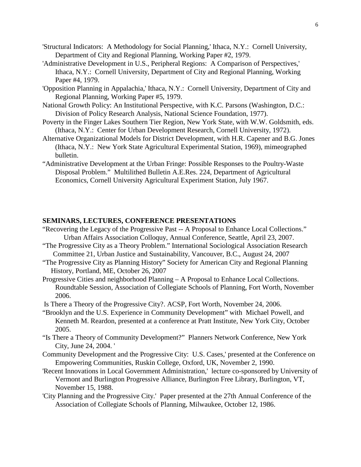- 'Structural Indicators: A Methodology for Social Planning,' Ithaca, N.Y.: Cornell University, Department of City and Regional Planning, Working Paper #2, 1979.
- 'Administrative Development in U.S., Peripheral Regions: A Comparison of Perspectives,' Ithaca, N.Y.: Cornell University, Department of City and Regional Planning, Working Paper #4, 1979.
- 'Opposition Planning in Appalachia,' Ithaca, N.Y.: Cornell University, Department of City and Regional Planning, Working Paper #5, 1979.
- National Growth Policy: An Institutional Perspective, with K.C. Parsons (Washington, D.C.: Division of Policy Research Analysis, National Science Foundation, 1977).
- Poverty in the Finger Lakes Southern Tier Region, New York State, with W.W. Goldsmith, eds. (Ithaca, N.Y.: Center for Urban Development Research, Cornell University, 1972).
- Alternative Organizational Models for District Development, with H.R. Capener and B.G. Jones (Ithaca, N.Y.: New York State Agricultural Experimental Station, 1969), mimeographed bulletin.
- "Administrative Development at the Urban Fringe: Possible Responses to the Poultry-Waste Disposal Problem." Multilithed Bulletin A.E.Res. 224, Department of Agricultural Economics, Cornell University Agricultural Experiment Station, July 1967.

## **SEMINARS, LECTURES, CONFERENCE PRESENTATIONS**

- "Recovering the Legacy of the Progressive Past -- A Proposal to Enhance Local Collections." Urban Affairs Association Colloquy, Annual Conference, Seattle, April 23, 2007.
- "The Progressive City as a Theory Problem." International Sociological Association Research Committee 21, Urban Justice and Sustainability, Vancouver, B.C., August 24, 2007
- "The Progressive City as Planning History" Society for American City and Regional Planning History, Portland, ME, October 26, 2007
- Progressive Cities and neighborhood Planning A Proposal to Enhance Local Collections. Roundtable Session, Association of Collegiate Schools of Planning, Fort Worth, November 2006.
- Is There a Theory of the Progressive City?. ACSP, Fort Worth, November 24, 2006.
- "Brooklyn and the U.S. Experience in Community Development" with Michael Powell, and Kenneth M. Reardon, presented at a conference at Pratt Institute, New York City, October 2005.
- "Is There a Theory of Community Development?" Planners Network Conference, New York City, June 24, 2004. '
- Community Development and the Progressive City: U.S. Cases,' presented at the Conference on Empowering Communities, Ruskin College, Oxford, UK, November 2, 1990.
- 'Recent Innovations in Local Government Administration,' lecture co-sponsored by University of Vermont and Burlington Progressive Alliance, Burlington Free Library, Burlington, VT, November 15, 1988.
- 'City Planning and the Progressive City.' Paper presented at the 27th Annual Conference of the Association of Collegiate Schools of Planning, Milwaukee, October 12, 1986.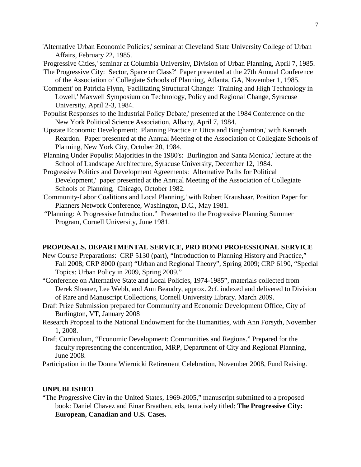- 'Alternative Urban Economic Policies,' seminar at Cleveland State University College of Urban Affairs, February 22, 1985.
- 'Progressive Cities,' seminar at Columbia University, Division of Urban Planning, April 7, 1985.
- 'The Progressive City: Sector, Space or Class?' Paper presented at the 27th Annual Conference of the Association of Collegiate Schools of Planning, Atlanta, GA, November 1, 1985.
- 'Comment' on Patricia Flynn, 'Facilitating Structural Change: Training and High Technology in Lowell,' Maxwell Symposium on Technology, Policy and Regional Change, Syracuse University, April 2-3, 1984.
- 'Populist Responses to the Industrial Policy Debate,' presented at the 1984 Conference on the New York Political Science Association, Albany, April 7, 1984.
- 'Upstate Economic Development: Planning Practice in Utica and Binghamton,' with Kenneth Reardon. Paper presented at the Annual Meeting of the Association of Collegiate Schools of Planning, New York City, October 20, 1984.
- 'Planning Under Populist Majorities in the 1980's: Burlington and Santa Monica,' lecture at the School of Landscape Architecture, Syracuse University, December 12, 1984.
- 'Progressive Politics and Development Agreements: Alternative Paths for Political Development,' paper presented at the Annual Meeting of the Association of Collegiate Schools of Planning, Chicago, October 1982.
- 'Community-Labor Coalitions and Local Planning,' with Robert Kraushaar, Position Paper for Planners Network Conference, Washington, D.C., May 1981.
- "Planning: A Progressive Introduction." Presented to the Progressive Planning Summer Program, Cornell University, June 1981.

# **PROPOSALS, DEPARTMENTAL SERVICE, PRO BONO PROFESSIONAL SERVICE**

- New Course Preparations: CRP 5130 (part), "Introduction to Planning History and Practice," Fall 2008; CRP 8000 (part) "Urban and Regional Theory", Spring 2009; CRP 6190, "Special Topics: Urban Policy in 2009, Spring 2009."
- "Conference on Alternative State and Local Policies, 1974-1985", materials collected from Derek Shearer, Lee Webb, and Ann Beaudry, approx. 2cf. indexed and delivered to Division of Rare and Manuscript Collections, Cornell University Library. March 2009.
- Draft Prize Submission prepared for Community and Economic Development Office, City of Burlington, VT, January 2008
- Research Proposal to the National Endowment for the Humanities, with Ann Forsyth, November 1, 2008.
- Draft Curriculum, "Economic Development: Communities and Regions." Prepared for the faculty representing the concentration, MRP, Department of City and Regional Planning, June 2008.

Participation in the Donna Wiernicki Retirement Celebration, November 2008, Fund Raising.

### **UNPUBLISHED**

"The Progressive City in the United States, 1969-2005," manuscript submitted to a proposed book: Daniel Chavez and Einar Braathen, eds, tentatively titled: **The Progressive City: European, Canadian and U.S. Cases.**